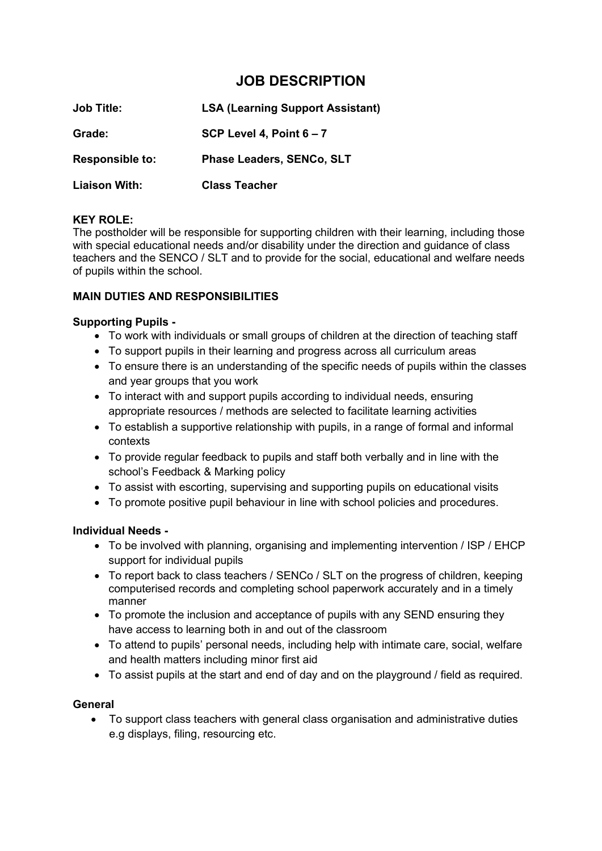# **JOB DESCRIPTION**

| <b>Job Title:</b>      | <b>LSA (Learning Support Assistant)</b> |  |
|------------------------|-----------------------------------------|--|
| Grade:                 | SCP Level 4, Point $6 - 7$              |  |
| <b>Responsible to:</b> | <b>Phase Leaders, SENCo, SLT</b>        |  |
| <b>Liaison With:</b>   | <b>Class Teacher</b>                    |  |

#### **KEY ROLE:**

The postholder will be responsible for supporting children with their learning, including those with special educational needs and/or disability under the direction and guidance of class teachers and the SENCO / SLT and to provide for the social, educational and welfare needs of pupils within the school.

### **MAIN DUTIES AND RESPONSIBILITIES**

#### **Supporting Pupils -**

- To work with individuals or small groups of children at the direction of teaching staff
- To support pupils in their learning and progress across all curriculum areas
- To ensure there is an understanding of the specific needs of pupils within the classes and year groups that you work
- To interact with and support pupils according to individual needs, ensuring appropriate resources / methods are selected to facilitate learning activities
- To establish a supportive relationship with pupils, in a range of formal and informal contexts
- To provide regular feedback to pupils and staff both verbally and in line with the school's Feedback & Marking policy
- To assist with escorting, supervising and supporting pupils on educational visits
- To promote positive pupil behaviour in line with school policies and procedures.

#### **Individual Needs -**

- To be involved with planning, organising and implementing intervention / ISP / EHCP support for individual pupils
- To report back to class teachers / SENCo / SLT on the progress of children, keeping computerised records and completing school paperwork accurately and in a timely manner
- To promote the inclusion and acceptance of pupils with any SEND ensuring they have access to learning both in and out of the classroom
- To attend to pupils' personal needs, including help with intimate care, social, welfare and health matters including minor first aid
- To assist pupils at the start and end of day and on the playground / field as required.

#### **General**

• To support class teachers with general class organisation and administrative duties e.g displays, filing, resourcing etc.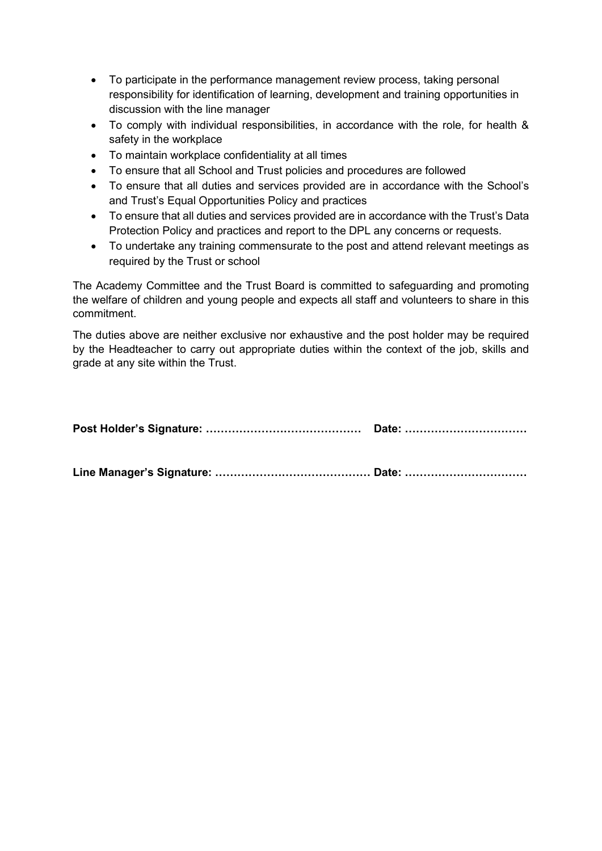- To participate in the performance management review process, taking personal responsibility for identification of learning, development and training opportunities in discussion with the line manager
- To comply with individual responsibilities, in accordance with the role, for health & safety in the workplace
- To maintain workplace confidentiality at all times
- To ensure that all School and Trust policies and procedures are followed
- To ensure that all duties and services provided are in accordance with the School's and Trust's Equal Opportunities Policy and practices
- To ensure that all duties and services provided are in accordance with the Trust's Data Protection Policy and practices and report to the DPL any concerns or requests.
- To undertake any training commensurate to the post and attend relevant meetings as required by the Trust or school

The Academy Committee and the Trust Board is committed to safeguarding and promoting the welfare of children and young people and expects all staff and volunteers to share in this commitment.

The duties above are neither exclusive nor exhaustive and the post holder may be required by the Headteacher to carry out appropriate duties within the context of the job, skills and grade at any site within the Trust.